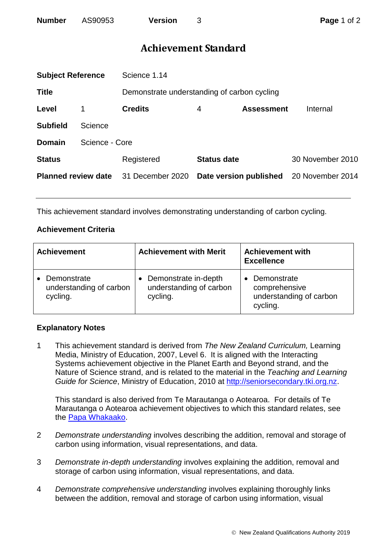## **Achievement Standard**

| <b>Subject Reference</b>   |                | Science 1.14                                |                        |                   |                  |  |
|----------------------------|----------------|---------------------------------------------|------------------------|-------------------|------------------|--|
| <b>Title</b>               |                | Demonstrate understanding of carbon cycling |                        |                   |                  |  |
| Level                      |                | <b>Credits</b>                              | 4                      | <b>Assessment</b> | Internal         |  |
| <b>Subfield</b>            | Science        |                                             |                        |                   |                  |  |
| <b>Domain</b>              | Science - Core |                                             |                        |                   |                  |  |
| <b>Status</b>              |                | Registered                                  | <b>Status date</b>     |                   | 30 November 2010 |  |
| <b>Planned review date</b> |                | 31 December 2020                            | Date version published |                   | 20 November 2014 |  |
|                            |                |                                             |                        |                   |                  |  |

This achievement standard involves demonstrating understanding of carbon cycling.

## **Achievement Criteria**

| <b>Achievement</b>                                 | <b>Achievement with Merit</b>                               | <b>Achievement with</b><br><b>Excellence</b>                        |  |
|----------------------------------------------------|-------------------------------------------------------------|---------------------------------------------------------------------|--|
| Demonstrate<br>understanding of carbon<br>cycling. | Demonstrate in-depth<br>understanding of carbon<br>cycling. | Demonstrate<br>comprehensive<br>understanding of carbon<br>cycling. |  |

## **Explanatory Notes**

1 This achievement standard is derived from *The New Zealand Curriculum,* Learning Media, Ministry of Education, 2007, Level 6. It is aligned with the Interacting Systems achievement objective in the Planet Earth and Beyond strand, and the Nature of Science strand, and is related to the material in the *Teaching and Learning Guide for Science*, Ministry of Education, 2010 at [http://seniorsecondary.tki.org.nz.](http://seniorsecondary.tki.org.nz/)

This standard is also derived from Te Marautanga o Aotearoa. For details of Te Marautanga o Aotearoa achievement objectives to which this standard relates, see the [Papa Whakaako.](http://tmoa.tki.org.nz/Te-Marautanga-o-Aotearoa/Taumata-Matauranga-a-Motu-Ka-Taea)

- 2 *Demonstrate understanding* involves describing the addition, removal and storage of carbon using information, visual representations, and data.
- 3 *Demonstrate in-depth understanding* involves explaining the addition, removal and storage of carbon using information, visual representations, and data.
- 4 *Demonstrate comprehensive understanding* involves explaining thoroughly links between the addition, removal and storage of carbon using information, visual